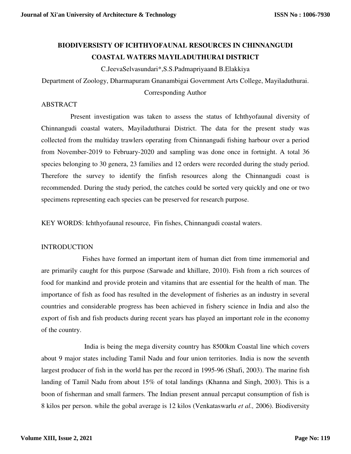# **BIODIVERSISTY OF ICHTHYOFAUNAL RESOURCES IN CHINNANGUDI COASTAL WATERS MAYILADUTHURAI DISTRICT**

C.JeevaSelvasundari\*,S.S.Padmapriyaand B.Elakkiya

Department of Zoology, Dharmapuram Gnanambigai Government Arts College, Mayiladuthurai.

Corresponding Author

## ABSTRACT

 Present investigation was taken to assess the status of Ichthyofaunal diversity of Chinnangudi coastal waters, Mayiladuthurai District. The data for the present study was collected from the multiday trawlers operating from Chinnangudi fishing harbour over a period from November-2019 to February-2020 and sampling was done once in fortnight. A total 36 species belonging to 30 genera, 23 families and 12 orders were recorded during the study period. Therefore the survey to identify the finfish resources along the Chinnangudi coast is recommended. During the study period, the catches could be sorted very quickly and one or two specimens representing each species can be preserved for research purpose.

KEY WORDS: Ichthyofaunal resource, Fin fishes, Chinnangudi coastal waters.

### INTRODUCTION

 Fishes have formed an important item of human diet from time immemorial and are primarily caught for this purpose (Sarwade and khillare, 2010). Fish from a rich sources of food for mankind and provide protein and vitamins that are essential for the health of man. The importance of fish as food has resulted in the development of fisheries as an industry in several countries and considerable progress has been achieved in fishery science in India and also the export of fish and fish products during recent years has played an important role in the economy of the country.

 India is being the mega diversity country has 8500km Coastal line which covers about 9 major states including Tamil Nadu and four union territories. India is now the seventh largest producer of fish in the world has per the record in 1995-96 (Shafi, 2003). The marine fish landing of Tamil Nadu from about 15% of total landings (Khanna and Singh, 2003). This is a boon of fisherman and small farmers. The Indian present annual percaput consumption of fish is 8 kilos per person. while the gobal average is 12 kilos (Venkataswarlu *et al.,* 2006). Biodiversity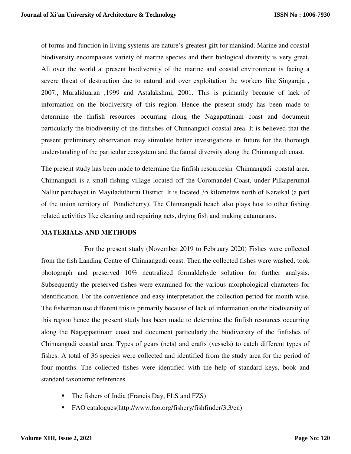of forms and function in living systems are nature's greatest gift for mankind. Marine and coastal biodiversity encompasses variety of marine species and their biological diversity is very great. All over the world at present biodiversity of the marine and coastal environment is facing a severe threat of destruction due to natural and over exploitation the workers like Singaraja , 2007., Muraliduaran ,1999 and Astalakshmi, 2001. This is primarily because of lack of information on the biodiversity of this region. Hence the present study has been made to determine the finfish resources occurring along the Nagapattinam coast and document particularly the biodiversity of the finfishes of Chinnangudi coastal area. It is believed that the present preliminary observation may stimulate better investigations in future for the thorough understanding of the particular ecosystem and the faunal diversity along the Chinnangudi coast.

The present study has been made to determine the finfish resourcesin Chinnangudi coastal area. Chinnangudi is a small fishing village located off the Coromandel Coast, under Pillaiperumal Nallur panchayat in Mayiladuthurai District. It is located 35 kilometres north of Karaikal (a part of the union territory of Pondicherry). The Chinnangudi beach also plays host to other fishing related activities like cleaning and repairing nets, drying fish and making catamarans.

### **MATERIALS AND METHODS**

 For the present study (November 2019 to February 2020) Fishes were collected from the fish Landing Centre of Chinnangudi coast. Then the collected fishes were washed, took photograph and preserved 10% neutralized formaldehyde solution for further analysis. Subsequently the preserved fishes were examined for the various morphological characters for identification. For the convenience and easy interpretation the collection period for month wise. The fisherman use different this is primarily because of lack of information on the biodiversity of this region hence the present study has been made to determine the finfish resources occurring along the Nagappattinam coast and document particularly the biodiversity of the finfishes of Chinnangudi coastal area. Types of gears (nets) and crafts (vessels) to catch different types of fishes. A total of 36 species were collected and identified from the study area for the period of four months. The collected fishes were identified with the help of standard keys, book and standard taxonomic references.

- The fishers of India (Francis Day, FLS and FZS)
- FAO catalogues(http://www.fao.org/fishery/fishfinder/3,3/en)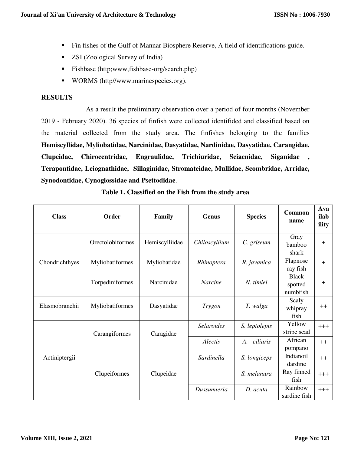- Fin fishes of the Gulf of Mannar Biosphere Reserve, A field of identifications guide.
- **ZSI** (Zoological Survey of India)
- Fishbase (http;www,fishbase-org/search.php)
- WORMS (http//www.marinespecies.org).

## **RESULTS**

 As a result the preliminary observation over a period of four months (November 2019 - February 2020). 36 species of finfish were collected identifided and classified based on the material collected from the study area. The finfishes belonging to the families **Hemiscyllidae, Myliobatidae, Narcinidae, Dasyatidae, Nardinidae, Dasyatidae, Carangidae, Clupeidae, Chirocentridae, Engraulidae, Trichiuridae, Sciaenidae, Siganidae , Terapontidae, Leiognathidae, Sillaginidae, Stromateidae, Mullidae, Scombridae, Arridae, Synodontidae, Cynoglossidae and Psettodidae**.

| <b>Class</b>   | Order            | Family         | <b>Genus</b>      | <b>Species</b> | Common<br>name                      | Ava<br>ilab<br>ility |
|----------------|------------------|----------------|-------------------|----------------|-------------------------------------|----------------------|
| Chondrichthyes | Orectolobiformes | Hemiscylliidae | Chiloscyllium     | C. griseum     | Gray<br>bamboo<br>shark             | $\ddot{}$            |
|                | Myliobatiformes  | Myliobatidae   | Rhinoptera        | R. javanica    | Flapnose<br>ray fish                | $+$                  |
|                | Torpediniformes  | Narcinidae     | <b>Narcine</b>    | N. timlei      | <b>Black</b><br>spotted<br>numbfish | $\ddot{}$            |
| Elasmobranchii | Myliobatiformes  | Dasyatidae     | <b>Trygon</b>     | T. walga       | Scaly<br>whipray<br>fish            | $++$                 |
| Actiniptergii  | Carangiformes    | Caragidae      | <b>Selaroides</b> | S. leptolepis  | Yellow<br>stripe scad               | $+++$                |
|                |                  |                | Alectis           | ciliaris<br>A. | African<br>pompano                  | $^{++}$              |
|                | Clupeiformes     | Clupeidae      | Sardinella        | S. longiceps   | Indianoil<br>dardine                | $++$                 |
|                |                  |                |                   | S. melanura    | Ray finned<br>fish                  | $+++$                |
|                |                  |                | Dussumieria       | $D.$ acuta     | Rainbow<br>sardine fish             | $+++$                |

## **Table 1. Classified on the Fish from the study area**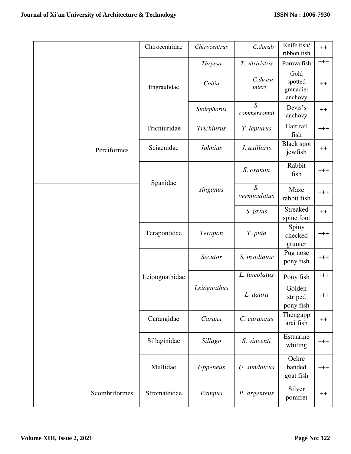|  |               | Chirocentridae | Chirocentrus   | C.dorab                        | Knife fish/<br>ribbon fish              | $^{++}$  |
|--|---------------|----------------|----------------|--------------------------------|-----------------------------------------|----------|
|  |               | Engraulidae    | <b>Thryssa</b> | T. vitriristris                | Poruva fish                             | $+++$    |
|  |               |                | Coilia         | C.dussu<br>mieri               | Gold<br>spotted<br>grenadier<br>anchovy | $++$     |
|  |               |                | Stolephorus    | S.<br>commersonnii             | Devis's<br>anchovy                      | $++$     |
|  | Perciformes   | Trichiuridae   | Trichiurus     | T. lepturus                    | Hair tail<br>fish                       | $+++$    |
|  |               | Sciaenidae     | <b>Johnius</b> | J. axillaris                   | <b>Black spot</b><br>jewfish            | $^{++}$  |
|  |               | Sganidae       | singanus       | S. oramin                      | Rabbit<br>fish                          | $^{+++}$ |
|  |               |                |                | S <sub>1</sub><br>vermiculatus | Maze<br>rabbit fish                     | $+++$    |
|  |               |                |                | S. javus                       | <b>Streaked</b><br>spine foot           | $++$     |
|  |               | Terapontidae   | Terapon        | T. puta                        | Spiny<br>checked<br>grunter             | $^{+++}$ |
|  |               | Leioognathidae | Secutor        | S. insidiator                  | Pug nose<br>pony fish                   | $^{+++}$ |
|  |               |                | Leiognathus    | L. lineolatus                  | Pony fish                               | $^{+++}$ |
|  |               |                |                | L. daura                       | Golden<br>striped<br>pony fish          | $^{+++}$ |
|  |               | Carangidae     | Caranx         | C. carangus                    | Thengapp<br>arai fish                   | $++$     |
|  |               | Sillaginidae   | Sillago        | S. vincenti                    | Estuarine<br>whiting                    | $^{+++}$ |
|  |               | Mullidae       | Uppeneus       | U. sundaicus                   | Ochre<br>banded<br>goat fish            | $+++$    |
|  | Scombriformes | Stromateidae   | Pampus         | P. argenteus                   | Silver<br>pomfret                       | $^{++}$  |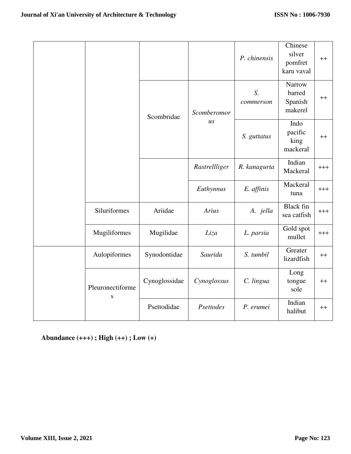|  |                               |               |                                 | P. chinensis    | Chinese<br>silver<br>pomfret<br>karu vaval | $++$     |
|--|-------------------------------|---------------|---------------------------------|-----------------|--------------------------------------------|----------|
|  |                               | Scombridae    | Scomberomor<br>$\overline{u}$ s | S.<br>commerson | Narrow<br>barred<br>Spanish<br>makerel     | $++$     |
|  |                               |               |                                 | S. guttatus     | Indo<br>pacific<br>king<br>mackeral        | $^{++}$  |
|  |                               |               | Rastrellliger                   | R. kanagurta    | Indian<br>Mackeral                         | $+++$    |
|  |                               |               | Euthynnus                       | E. affinis      | Mackeral<br>tuna                           | $^{+++}$ |
|  | Siluriformes                  | Ariidae       | Arius                           | A. jella        | <b>Black</b> fin<br>sea catfish            | $^{+++}$ |
|  | Mugiliformes                  | Mugilidae     | Liza                            | L. parsia       | Gold spot<br>mullet                        | $+++$    |
|  | Aulopiformes                  | Synodontidae  | Saurida                         | S. tumbil       | Greater<br>lizardfish                      | $^{++}$  |
|  | Pleuronectiforme<br>${\bf S}$ | Cynoglossidae | Cynoglossus                     | C. lingua       | Long<br>tongue<br>sole                     | $++$     |
|  |                               | Psettodidae   | Psettodes                       | P. erumei       | Indian<br>halibut                          | $^{++}$  |

**Abundance (+++) ; High (++) ; Low (+)**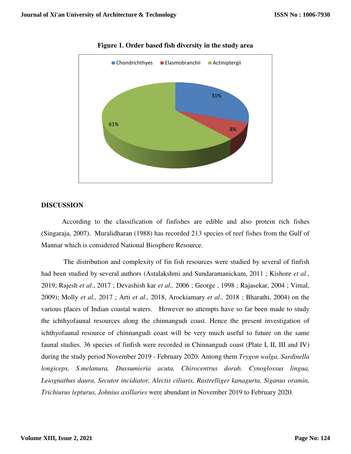

**Figure 1. Order based fish diversity in fish diversity in the study area** 

## **DISCUSSION**

According to the classification of finfishes are edible and also protein rich fishes (Singaraja, 2007). Muralidharan (1988) has recorded 213 species of reef fishes from the Gulf of Mannar which is considered National Biosphere Resource.

 The distribution and complexity of fin fish resources were studied by several of finfish had been studied by several authors (Astalakshmi and Sundaramanickam, 2011 ; Kishore *et al.,* Mannar which is considered National Biosphere Resource.<br>The distribution and complexity of fin fish resources were studied by several of finfish<br>had been studied by several authors (Astalakshmi and Sundaramanickam, 2011 ; 2009); Molly *et al.,* 2017 ; Arti *et al.,* 2018, Arockiamary *et al.,* 2018 ; Bharathi, 2004) on the various places of Indian coastal waters. However no attempts have so far been made to study the ichthyofaunal resources along the chinnangudi coast. Hence the present investigation of ichthyofaunal resource of chinnangudi coast will be very much useful to future on the same faunal studies. 36 species of finfish were recorded in Chinnangudi coast (Plate I, II, III and IV) ichthyofaunal resource of chinnangudi coast will be very much useful to future on the same<br>faunal studies. 36 species of finfish were recorded in Chinnangudi coast (Plate I, II, III and IV)<br>during the study period November *longiceps, S.melanura, Dussumieria acuta, Chirocentrus dorab, Cynoglossus lingua, Leiognathus daura, Secutor incidiator, Alectis ciliaris, Rastrelliger kanagurta, Siganus oramin, Trichiurus lepturus, Johnius axillaries* longiceps, S.melanura, Dussumieria acuta, Chirocentrus dorab, Cynoglossus lingua,<br>Leiognathus daura, Secutor incidiator, Alectis ciliaris, Rastrelliger kanagurta, Siganus oramin,<br>Trichiurus lepturus, Johnius axillaries wer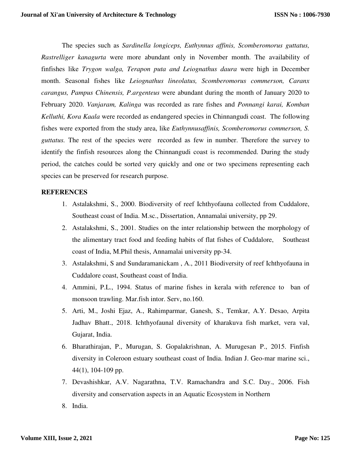The species such as *Sardinella longiceps, Euthynnus affinis, Scomberomorus guttatus, Rastrelliger kanagurta* were more abundant only in November month. The availability of finfishes like *Trygon walga, Terapon puta and Leiognathus daura* were high in December month. Seasonal fishes like *Leiognathus lineolatus, Scomberomorus commerson, Caranx carangus, Pampus Chinensis, P.argenteus* were abundant during the month of January 2020 to February 2020. *Vanjaram, Kalinga* was recorded as rare fishes and *Ponnangi karai, Komban Kelluthi, Kora Kaala* were recorded as endangered species in Chinnangudi coast. The following fishes were exported from the study area, like *Euthynnusaffinis, Scomberomorus commerson, S. guttatus.* The rest of the species were recorded as few in number. Therefore the survey to identify the finfish resources along the Chinnangudi coast is recommended. During the study period, the catches could be sorted very quickly and one or two specimens representing each species can be preserved for research purpose.

### **REFERENCES**

- 1. Astalakshmi, S., 2000. Biodiversity of reef Ichthyofauna collected from Cuddalore, Southeast coast of India. M.sc., Dissertation, Annamalai university, pp 29.
- 2. Astalakshmi, S., 2001. Studies on the inter relationship between the morphology of the alimentary tract food and feeding habits of flat fishes of Cuddalore, Southeast coast of India, M.Phil thesis, Annamalai university pp-34.
- 3. Astalakshmi, S and Sundaramanickam , A., 2011 Biodiversity of reef Ichthyofauna in Cuddalore coast, Southeast coast of India.
- 4. Ammini, P.L., 1994. Status of marine fishes in kerala with reference to ban of monsoon trawling. Mar.fish intor. Serv, no.160.
- 5. Arti, M., Joshi Ejaz, A., Rahimparmar, Ganesh, S., Temkar, A.Y. Desao, Arpita Jadhav Bhatt., 2018. Ichthyofaunal diversity of kharakuva fish market, vera val, Gujarat, India.
- 6. Bharathirajan, P., Murugan, S. Gopalakrishnan, A. Murugesan P., 2015. Finfish diversity in Coleroon estuary southeast coast of India. Indian J. Geo-mar marine sci., 44(1), 104-109 pp.
- 7. Devashishkar, A.V. Nagarathna, T.V. Ramachandra and S.C. Day., 2006. Fish diversity and conservation aspects in an Aquatic Ecosystem in Northern
- 8. India.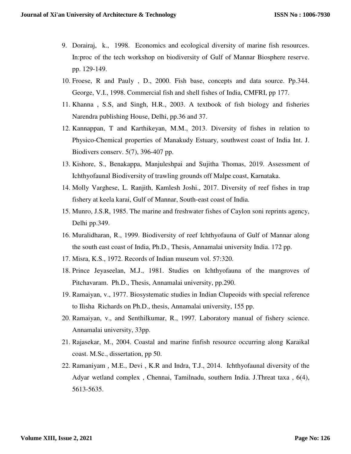- 9. Dorairaj, k., 1998. Economics and ecological diversity of marine fish resources. In:proc of the tech workshop on biodiversity of Gulf of Mannar Biosphere reserve. pp. 129-149.
- 10. Froese, R and Pauly , D., 2000. Fish base, concepts and data source. Pp.344. George, V.I., 1998. Commercial fish and shell fishes of India, CMFRI, pp 177.
- 11. Khanna , S.S, and Singh, H.R., 2003. A textbook of fish biology and fisheries Narendra publishing House, Delhi, pp.36 and 37.
- 12. Kannappan, T and Karthikeyan, M.M., 2013. Diversity of fishes in relation to Physico-Chemical properties of Manakudy Estuary, southwest coast of India Int. J. Biodivers conserv. 5(7), 396-407 pp.
- 13. Kishore, S., Benakappa, Manjuleshpai and Sujitha Thomas, 2019. Assessment of Ichthyofaunal Biodiversity of trawling grounds off Malpe coast, Karnataka.
- 14. Molly Varghese, L. Ranjith, Kamlesh Joshi., 2017. Diversity of reef fishes in trap fishery at keela karai, Gulf of Mannar, South-east coast of India.
- 15. Munro, J.S.R, 1985. The marine and freshwater fishes of Caylon soni reprints agency, Delhi pp.349.
- 16. Muralidharan, R., 1999. Biodiversity of reef Ichthyofauna of Gulf of Mannar along the south east coast of India, Ph.D., Thesis, Annamalai university India. 172 pp.
- 17. Misra, K.S., 1972. Records of Indian museum vol. 57:320.
- 18. Prince Jeyaseelan, M.J., 1981. Studies on Ichthyofauna of the mangroves of Pitchavaram. Ph.D., Thesis, Annamalai university, pp.290.
- 19. Ramaiyan, v., 1977. Biosystematic studies in Indian Clupeoids with special reference to Ilisha Richards on Ph.D., thesis, Annamalai university, 155 pp.
- 20. Ramaiyan, v., and Senthilkumar, R., 1997. Laboratory manual of fishery science. Annamalai university, 33pp.
- 21. Rajasekar, M., 2004. Coastal and marine finfish resource occurring along Karaikal coast. M.Sc., dissertation, pp 50.
- 22. Ramaniyam , M.E., Devi , K.R and Indra, T.J., 2014. Ichthyofaunal diversity of the Adyar wetland complex , Chennai, Tamilnadu, southern India. J.Threat taxa , 6(4), 5613-5635.